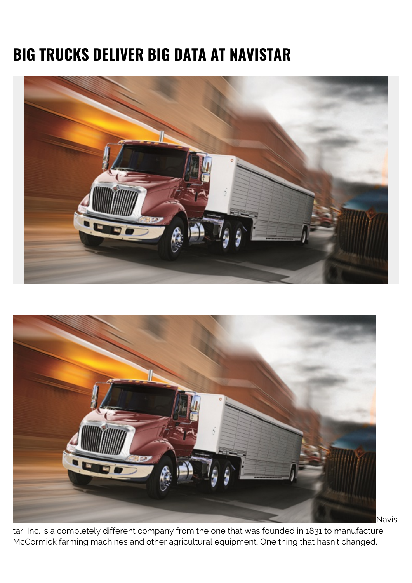## **BIG TRUCKS DELIVER BIG DATA AT NAVISTAR**





Navis

tar, Inc. is a completely different company from the one that was founded in 1831 to manufacture McCormick farming machines and other agricultural equipment. One thing that hasn't changed,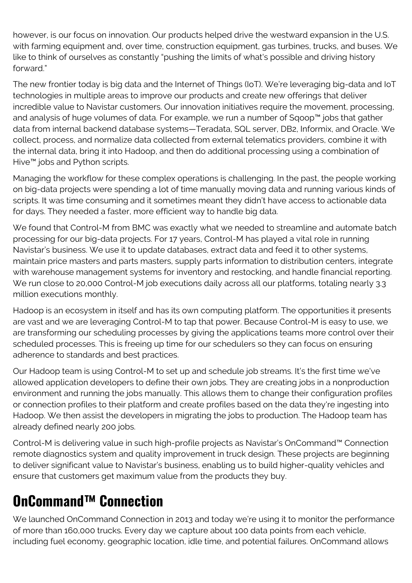however, is our focus on innovation. Our products helped drive the westward expansion in the U.S. with farming equipment and, over time, construction equipment, gas turbines, trucks, and buses. We like to think of ourselves as constantly "pushing the limits of what's possible and driving history forward."

The new frontier today is big data and the Internet of Things (IoT). We're leveraging big-data and IoT technologies in multiple areas to improve our products and create new offerings that deliver incredible value to Navistar customers. Our innovation initiatives require the movement, processing, and analysis of huge volumes of data. For example, we run a number of Sqoop™ jobs that gather data from internal backend database systems—Teradata, SQL server, DB2, Informix, and Oracle. We collect, process, and normalize data collected from external telematics providers, combine it with the internal data, bring it into Hadoop, and then do additional processing using a combination of Hive™ jobs and Python scripts.

Managing the workflow for these complex operations is challenging. In the past, the people working on big-data projects were spending a lot of time manually moving data and running various kinds of scripts. It was time consuming and it sometimes meant they didn't have access to actionable data for days. They needed a faster, more efficient way to handle big data.

We found that Control-M from BMC was exactly what we needed to streamline and automate batch processing for our big-data projects. For 17 years, Control-M has played a vital role in running Navistar's business. We use it to update databases, extract data and feed it to other systems, maintain price masters and parts masters, supply parts information to distribution centers, integrate with warehouse management systems for inventory and restocking, and handle financial reporting. We run close to 20,000 Control-M job executions daily across all our platforms, totaling nearly 3.3 million executions monthly.

Hadoop is an ecosystem in itself and has its own computing platform. The opportunities it presents are vast and we are leveraging Control-M to tap that power. Because Control-M is easy to use, we are transforming our scheduling processes by giving the applications teams more control over their scheduled processes. This is freeing up time for our schedulers so they can focus on ensuring adherence to standards and best practices.

Our Hadoop team is using Control-M to set up and schedule job streams. It's the first time we've allowed application developers to define their own jobs. They are creating jobs in a nonproduction environment and running the jobs manually. This allows them to change their configuration profiles or connection profiles to their platform and create profiles based on the data they're ingesting into Hadoop. We then assist the developers in migrating the jobs to production. The Hadoop team has already defined nearly 200 jobs.

Control-M is delivering value in such high-profile projects as Navistar's OnCommand™ Connection remote diagnostics system and quality improvement in truck design. These projects are beginning to deliver significant value to Navistar's business, enabling us to build higher-quality vehicles and ensure that customers get maximum value from the products they buy.

## **OnCommand™ Connection**

We launched OnCommand Connection in 2013 and today we're using it to monitor the performance of more than 160,000 trucks. Every day we capture about 100 data points from each vehicle, including fuel economy, geographic location, idle time, and potential failures. OnCommand allows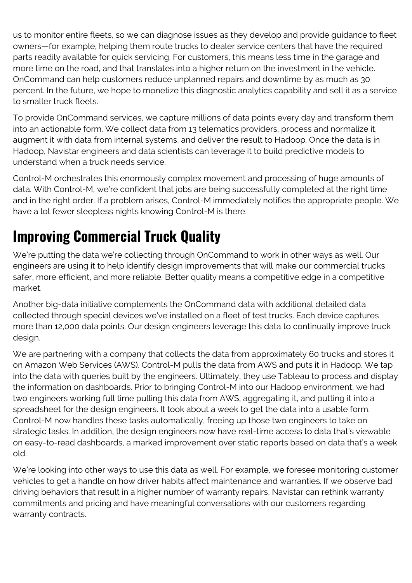us to monitor entire fleets, so we can diagnose issues as they develop and provide guidance to fleet owners—for example, helping them route trucks to dealer service centers that have the required parts readily available for quick servicing. For customers, this means less time in the garage and more time on the road, and that translates into a higher return on the investment in the vehicle. OnCommand can help customers reduce unplanned repairs and downtime by as much as 30 percent. In the future, we hope to monetize this diagnostic analytics capability and sell it as a service to smaller truck fleets.

To provide OnCommand services, we capture millions of data points every day and transform them into an actionable form. We collect data from 13 telematics providers, process and normalize it, augment it with data from internal systems, and deliver the result to Hadoop. Once the data is in Hadoop, Navistar engineers and data scientists can leverage it to build predictive models to understand when a truck needs service.

Control-M orchestrates this enormously complex movement and processing of huge amounts of data. With Control-M, we're confident that jobs are being successfully completed at the right time and in the right order. If a problem arises, Control-M immediately notifies the appropriate people. We have a lot fewer sleepless nights knowing Control-M is there.

## **Improving Commercial Truck Quality**

We're putting the data we're collecting through OnCommand to work in other ways as well. Our engineers are using it to help identify design improvements that will make our commercial trucks safer, more efficient, and more reliable. Better quality means a competitive edge in a competitive market.

Another big-data initiative complements the OnCommand data with additional detailed data collected through special devices we've installed on a fleet of test trucks. Each device captures more than 12,000 data points. Our design engineers leverage this data to continually improve truck design.

We are partnering with a company that collects the data from approximately 60 trucks and stores it on Amazon Web Services (AWS). Control-M pulls the data from AWS and puts it in Hadoop. We tap into the data with queries built by the engineers. Ultimately, they use Tableau to process and display the information on dashboards. Prior to bringing Control-M into our Hadoop environment, we had two engineers working full time pulling this data from AWS, aggregating it, and putting it into a spreadsheet for the design engineers. It took about a week to get the data into a usable form. Control-M now handles these tasks automatically, freeing up those two engineers to take on strategic tasks. In addition, the design engineers now have real-time access to data that's viewable on easy-to-read dashboards, a marked improvement over static reports based on data that's a week old.

We're looking into other ways to use this data as well. For example, we foresee monitoring customer vehicles to get a handle on how driver habits affect maintenance and warranties. If we observe bad driving behaviors that result in a higher number of warranty repairs, Navistar can rethink warranty commitments and pricing and have meaningful conversations with our customers regarding warranty contracts.